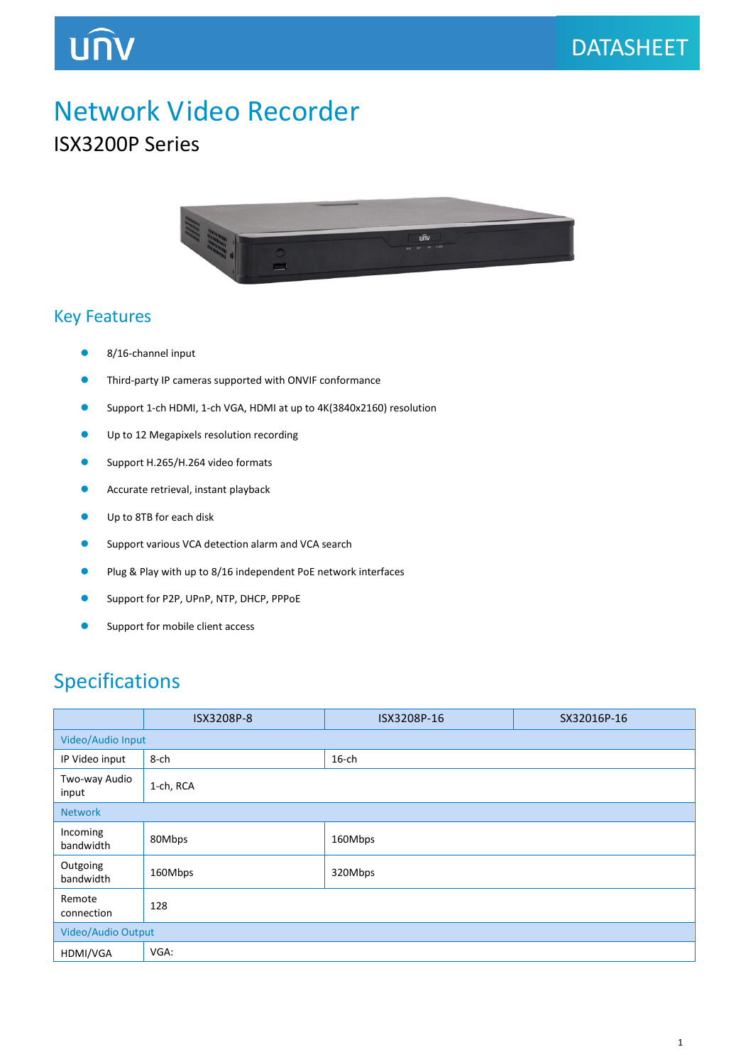## UNV

### Network Video Recorder

#### ISX3200P Series



#### Key Features

- 8/16-channel input
- **•** Third-party IP cameras supported with ONVIF conformance
- Support 1-ch HDMI, 1-ch VGA, HDMI at up to 4K(3840x2160) resolution
- **Up to 12 Megapixels resolution recording**
- **Support H.265/H.264 video formats**
- **Accurate retrieval, instant playback**
- **O** Up to 8TB for each disk
- **Support various VCA detection alarm and VCA search**
- **Plug & Play with up to 8/16 independent PoE network interfaces**
- Support for P2P, UPnP, NTP, DHCP, PPPoE
- Support for mobile client access

#### Specifications

|                        | ISX3208P-8 | ISX3208P-16 | SX32016P-16 |  |
|------------------------|------------|-------------|-------------|--|
| Video/Audio Input      |            |             |             |  |
| IP Video input         | 8-ch       | $16$ -ch    |             |  |
| Two-way Audio<br>input | 1-ch, RCA  |             |             |  |
| <b>Network</b>         |            |             |             |  |
| Incoming<br>bandwidth  | 80Mbps     | 160Mbps     |             |  |
| Outgoing<br>bandwidth  | 160Mbps    | 320Mbps     |             |  |
| Remote<br>connection   | 128        |             |             |  |
| Video/Audio Output     |            |             |             |  |
| HDMI/VGA               | VGA:       |             |             |  |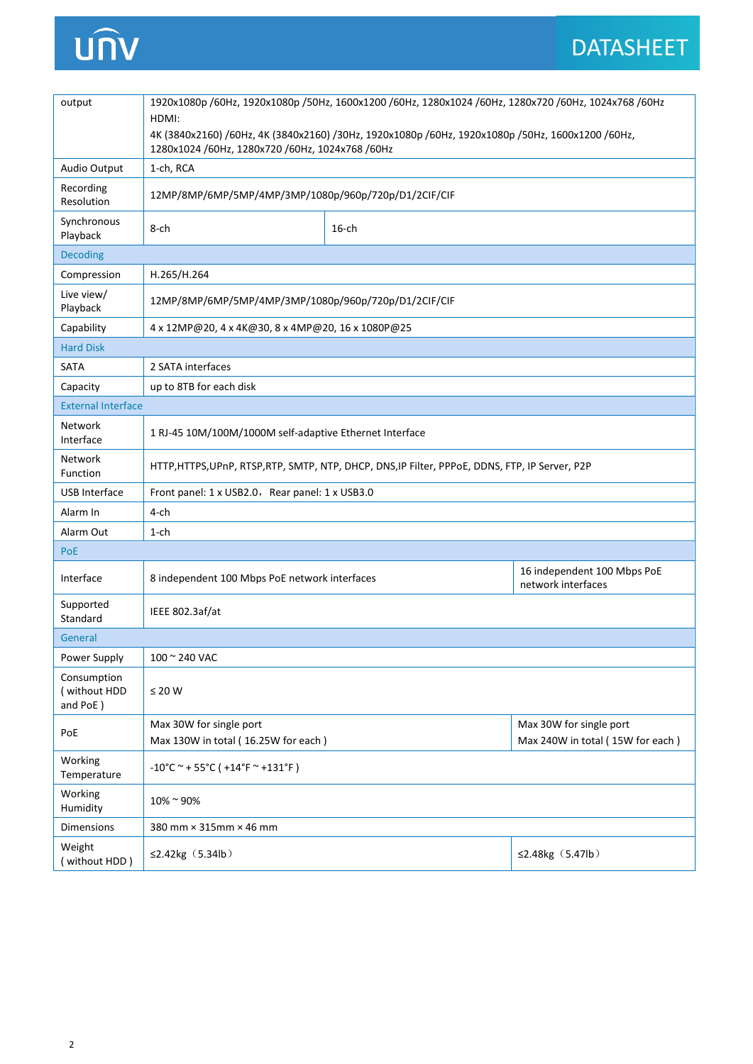# unv

| output                                  | 1920x1080p /60Hz, 1920x1080p /50Hz, 1600x1200 /60Hz, 1280x1024 /60Hz, 1280x720 /60Hz, 1024x768 /60Hz<br>HDMI:<br>4K (3840x2160) /60Hz, 4K (3840x2160) /30Hz, 1920x1080p /60Hz, 1920x1080p /50Hz, 1600x1200 /60Hz,<br>1280x1024 /60Hz, 1280x720 /60Hz, 1024x768 /60Hz |          |                                                             |  |  |
|-----------------------------------------|----------------------------------------------------------------------------------------------------------------------------------------------------------------------------------------------------------------------------------------------------------------------|----------|-------------------------------------------------------------|--|--|
| Audio Output                            | 1-ch, RCA                                                                                                                                                                                                                                                            |          |                                                             |  |  |
| Recording<br>Resolution                 | 12MP/8MP/6MP/5MP/4MP/3MP/1080p/960p/720p/D1/2CIF/CIF                                                                                                                                                                                                                 |          |                                                             |  |  |
| Synchronous<br>Playback                 | 8-ch                                                                                                                                                                                                                                                                 | $16$ -ch |                                                             |  |  |
| <b>Decoding</b>                         |                                                                                                                                                                                                                                                                      |          |                                                             |  |  |
| Compression                             | H.265/H.264                                                                                                                                                                                                                                                          |          |                                                             |  |  |
| Live view/<br>Playback                  | 12MP/8MP/6MP/5MP/4MP/3MP/1080p/960p/720p/D1/2CIF/CIF                                                                                                                                                                                                                 |          |                                                             |  |  |
| Capability                              | 4 x 12MP@20, 4 x 4K@30, 8 x 4MP@20, 16 x 1080P@25                                                                                                                                                                                                                    |          |                                                             |  |  |
| <b>Hard Disk</b>                        |                                                                                                                                                                                                                                                                      |          |                                                             |  |  |
| <b>SATA</b>                             | 2 SATA interfaces                                                                                                                                                                                                                                                    |          |                                                             |  |  |
| Capacity                                | up to 8TB for each disk                                                                                                                                                                                                                                              |          |                                                             |  |  |
|                                         | <b>External Interface</b>                                                                                                                                                                                                                                            |          |                                                             |  |  |
| Network<br>Interface                    | 1 RJ-45 10M/100M/1000M self-adaptive Ethernet Interface                                                                                                                                                                                                              |          |                                                             |  |  |
| <b>Network</b><br>Function              | HTTP,HTTPS,UPnP, RTSP,RTP, SMTP, NTP, DHCP, DNS,IP Filter, PPPoE, DDNS, FTP, IP Server, P2P                                                                                                                                                                          |          |                                                             |  |  |
| USB Interface                           | Front panel: 1 x USB2.0, Rear panel: 1 x USB3.0                                                                                                                                                                                                                      |          |                                                             |  |  |
| Alarm In                                | 4-ch                                                                                                                                                                                                                                                                 |          |                                                             |  |  |
| Alarm Out                               | 1-ch                                                                                                                                                                                                                                                                 |          |                                                             |  |  |
| PoE                                     |                                                                                                                                                                                                                                                                      |          |                                                             |  |  |
| Interface                               | 8 independent 100 Mbps PoE network interfaces                                                                                                                                                                                                                        |          | 16 independent 100 Mbps PoE<br>network interfaces           |  |  |
| Supported<br>Standard                   | IEEE 802.3af/at                                                                                                                                                                                                                                                      |          |                                                             |  |  |
| General                                 |                                                                                                                                                                                                                                                                      |          |                                                             |  |  |
| Power Supply                            | 100 ~ 240 VAC                                                                                                                                                                                                                                                        |          |                                                             |  |  |
| Consumption<br>(without HDD<br>and PoE) | $\leq 20$ W                                                                                                                                                                                                                                                          |          |                                                             |  |  |
| PoE                                     | Max 30W for single port<br>Max 130W in total (16.25W for each)                                                                                                                                                                                                       |          | Max 30W for single port<br>Max 240W in total (15W for each) |  |  |
| Working<br>Temperature                  | $-10^{\circ}$ C ~ + 55 $^{\circ}$ C ( +14 $^{\circ}$ F ~ +131 $^{\circ}$ F)                                                                                                                                                                                          |          |                                                             |  |  |
| Working<br>Humidity                     | 10%~90%                                                                                                                                                                                                                                                              |          |                                                             |  |  |
| <b>Dimensions</b>                       | 380 mm × 315mm × 46 mm                                                                                                                                                                                                                                               |          |                                                             |  |  |
| Weight<br>(without HDD)                 | ≤2.42 $kg$ (5.34 $lb$ )                                                                                                                                                                                                                                              |          | ≤2.48 $kg(5.47lb)$                                          |  |  |